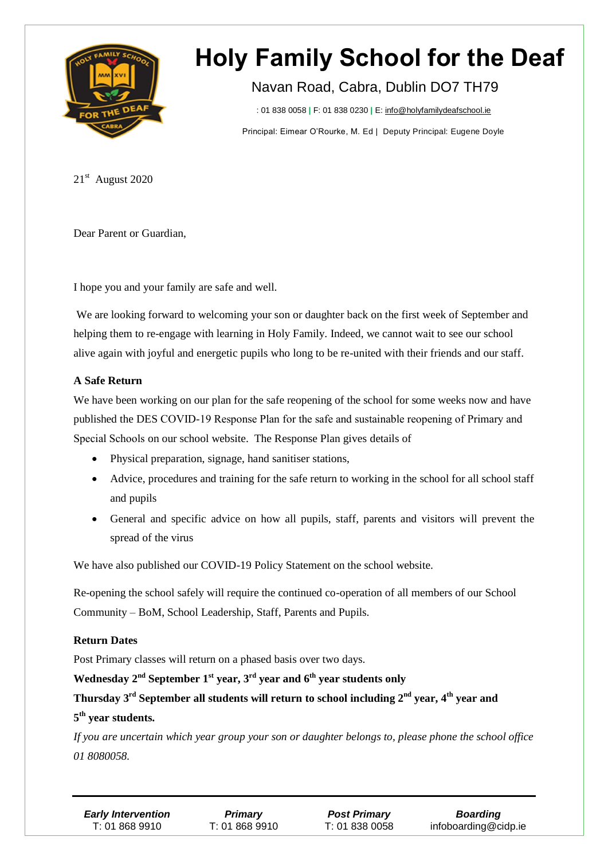

### Navan Road, Cabra, Dublin DO7 TH79

T : 01 838 0058 **|** F: 01 838 0230 **|** E: info@holyfamilydeafschool.ie

Principal: Eimear O'Rourke, M. Ed | Deputy Principal: Eugene Doyle

21st August 2020

Dear Parent or Guardian,

I hope you and your family are safe and well.

We are looking forward to welcoming your son or daughter back on the first week of September and helping them to re-engage with learning in Holy Family. Indeed, we cannot wait to see our school alive again with joyful and energetic pupils who long to be re-united with their friends and our staff.

#### **A Safe Return**

We have been working on our plan for the safe reopening of the school for some weeks now and have published the DES COVID-19 Response Plan for the safe and sustainable reopening of Primary and Special Schools on our school website. The Response Plan gives details of

- Physical preparation, signage, hand sanitiser stations,
- Advice, procedures and training for the safe return to working in the school for all school staff and pupils
- General and specific advice on how all pupils, staff, parents and visitors will prevent the spread of the virus

We have also published our COVID-19 Policy Statement on the school website.

Re-opening the school safely will require the continued co-operation of all members of our School Community – BoM, School Leadership, Staff, Parents and Pupils.

#### **Return Dates**

Post Primary classes will return on a phased basis over two days.

#### **Wednesday 2 nd September 1 st year, 3 rd year and 6 th year students only**

**Thursday 3 rd September all students will return to school including 2 nd year, 4 th year and 5 th year students.**

If you are uncertain which year group your son or daughter belongs to, please phone the school office *01 8080058.*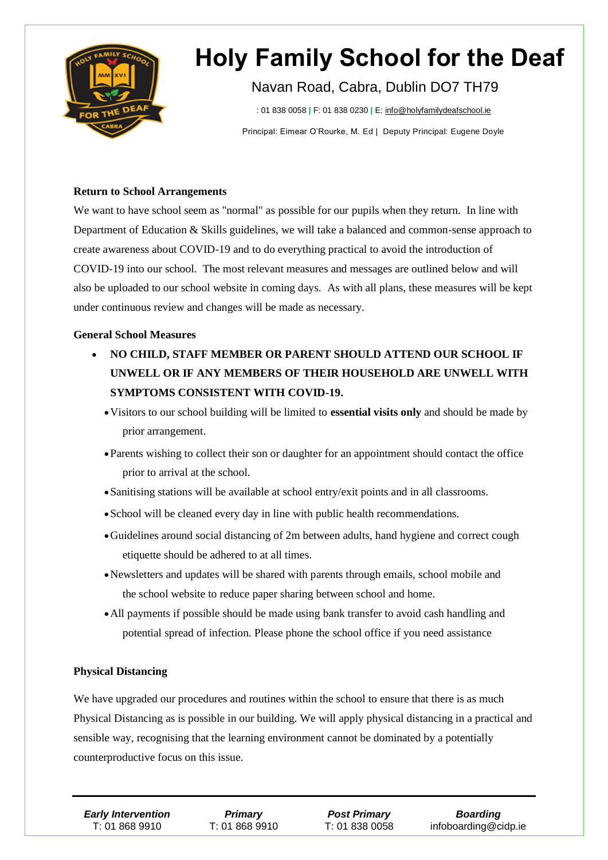

### Navan Road, Cabra, Dublin DO7 TH79

T : 01 838 0058 **|** F: 01 838 0230 **|** E: info@holyfamilydeafschool.ie

Principal: Eimear O'Rourke, M. Ed | Deputy Principal: Eugene Doyle

#### **Return to School Arrangements**

We want to have school seem as "normal" as possible for our pupils when they return. In line with Department of Education & Skills guidelines, we will take a balanced and common-sense approach to create awareness about COVID-19 and to do everything practical to avoid the introduction of COVID-19 into our school. The most relevant measures and messages are outlined below and will also be uploaded to our school website in coming days. As with all plans, these measures will be kept under continuous review and changes will be made as necessary.

#### **General School Measures**

- **NO CHILD, STAFF MEMBER OR PARENT SHOULD ATTEND OUR SCHOOL IF UNWELL OR IF ANY MEMBERS OF THEIR HOUSEHOLD ARE UNWELL WITH SYMPTOMS CONSISTENT WITH COVID-19.**
	- Visitors to our school building will be limited to **essential visits only** and should be made by prior arrangement.
	- Parents wishing to collect their son or daughter for an appointment should contact the office prior to arrival at the school.
	- Sanitising stations will be available at school entry/exit points and in all classrooms.
	- School will be cleaned every day in line with public health recommendations.
	- Guidelines around social distancing of 2m between adults, hand hygiene and correct cough etiquette should be adhered to at all times.
	- Newsletters and updates will be shared with parents through emails, school mobile and the school website to reduce paper sharing between school and home.
	- All payments if possible should be made using bank transfer to avoid cash handling and potential spread of infection. Please phone the school office if you need assistance

#### **Physical Distancing**

We have upgraded our procedures and routines within the school to ensure that there is as much Physical Distancing as is possible in our building. We will apply physical distancing in a practical and sensible way, recognising that the learning environment cannot be dominated by a potentially counterproductive focus on this issue.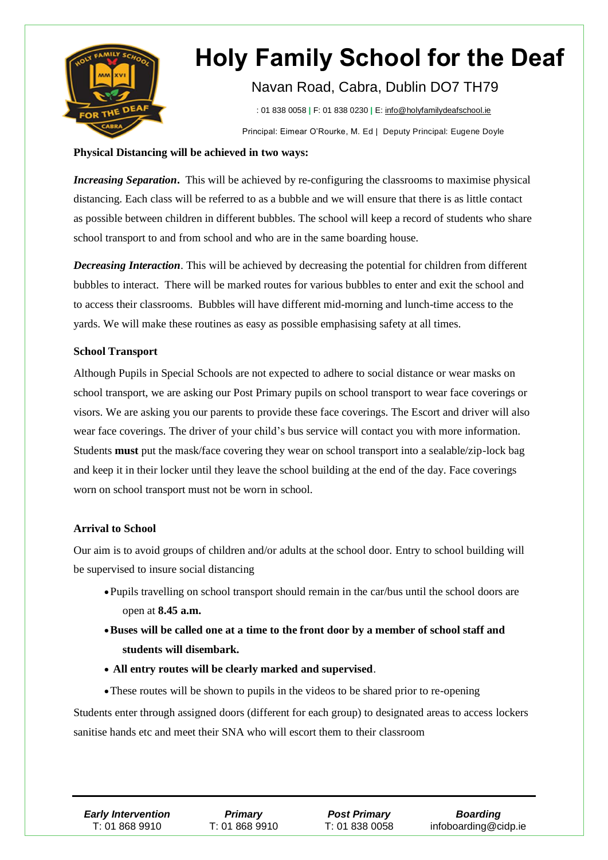

## Navan Road, Cabra, Dublin DO7 TH79

T : 01 838 0058 **|** F: 01 838 0230 **|** E: info@holyfamilydeafschool.ie Principal: Eimear O'Rourke, M. Ed | Deputy Principal: Eugene Doyle

#### **Physical Distancing will be achieved in two ways:**

*Increasing Separation***.** This will be achieved by re-configuring the classrooms to maximise physical distancing. Each class will be referred to as a bubble and we will ensure that there is as little contact as possible between children in different bubbles. The school will keep a record of students who share school transport to and from school and who are in the same boarding house.

*Decreasing Interaction*. This will be achieved by decreasing the potential for children from different bubbles to interact. There will be marked routes for various bubbles to enter and exit the school and to access their classrooms. Bubbles will have different mid-morning and lunch-time access to the yards. We will make these routines as easy as possible emphasising safety at all times.

#### **School Transport**

Although Pupils in Special Schools are not expected to adhere to social distance or wear masks on school transport, we are asking our Post Primary pupils on school transport to wear face coverings or visors. We are asking you our parents to provide these face coverings. The Escort and driver will also wear face coverings. The driver of your child's bus service will contact you with more information. Students **must** put the mask/face covering they wear on school transport into a sealable/zip-lock bag and keep it in their locker until they leave the school building at the end of the day. Face coverings worn on school transport must not be worn in school.

#### **Arrival to School**

Our aim is to avoid groups of children and/or adults at the school door. Entry to school building will be supervised to insure social distancing

- Pupils travelling on school transport should remain in the car/bus until the school doors are open at **8.45 a.m.**
- **Buses will be called one at a time to the front door by a member of school staff and students will disembark.**
- **All entry routes will be clearly marked and supervised**.

These routes will be shown to pupils in the videos to be shared prior to re-opening Students enter through assigned doors (different for each group) to designated areas to access lockers sanitise hands etc and meet their SNA who will escort them to their classroom

*Primary* T: 01 868 9910

*Post Primary* T: 01 838 0058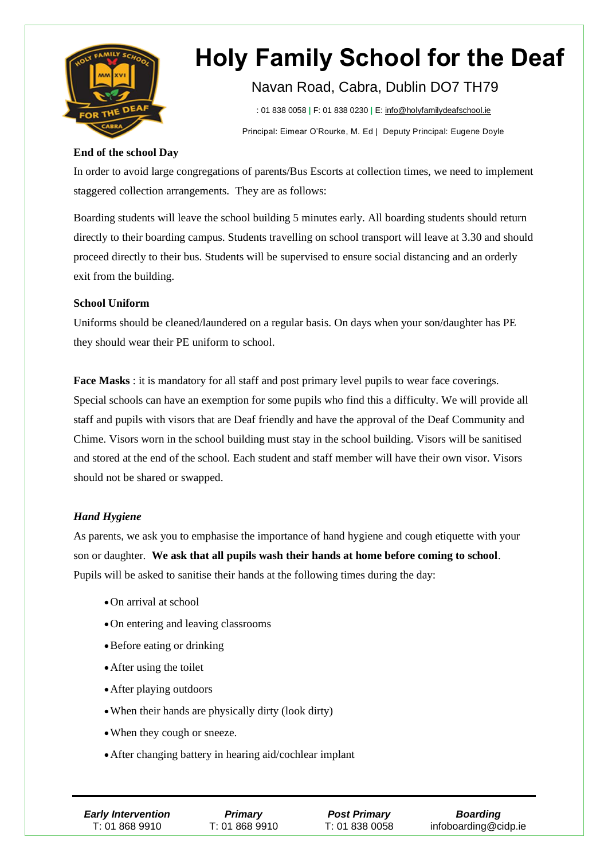

## Navan Road, Cabra, Dublin DO7 TH79

T : 01 838 0058 **|** F: 01 838 0230 **|** E: info@holyfamilydeafschool.ie Principal: Eimear O'Rourke, M. Ed | Deputy Principal: Eugene Doyle

#### **End of the school Day**

In order to avoid large congregations of parents/Bus Escorts at collection times, we need to implement staggered collection arrangements. They are as follows:

Boarding students will leave the school building 5 minutes early. All boarding students should return directly to their boarding campus. Students travelling on school transport will leave at 3.30 and should proceed directly to their bus. Students will be supervised to ensure social distancing and an orderly exit from the building.

#### **School Uniform**

Uniforms should be cleaned/laundered on a regular basis. On days when your son/daughter has PE they should wear their PE uniform to school.

**Face Masks** : it is mandatory for all staff and post primary level pupils to wear face coverings. Special schools can have an exemption for some pupils who find this a difficulty. We will provide all staff and pupils with visors that are Deaf friendly and have the approval of the Deaf Community and Chime. Visors worn in the school building must stay in the school building. Visors will be sanitised and stored at the end of the school. Each student and staff member will have their own visor. Visors should not be shared or swapped.

#### *Hand Hygiene*

As parents, we ask you to emphasise the importance of hand hygiene and cough etiquette with your son or daughter. **We ask that all pupils wash their hands at home before coming to school**. Pupils will be asked to sanitise their hands at the following times during the day:

- On arrival at school
- On entering and leaving classrooms
- Before eating or drinking
- After using the toilet
- After playing outdoors
- When their hands are physically dirty (look dirty)
- When they cough or sneeze.
- After changing battery in hearing aid/cochlear implant

| <b>Early Intervention</b> | <b>Primary</b> | <b>Post Primary</b> | <b>Boarding</b>      |
|---------------------------|----------------|---------------------|----------------------|
| T: 01 868 9910            | T: 01 868 9910 | T: 01 838 0058      | infoboarding@cidp.ie |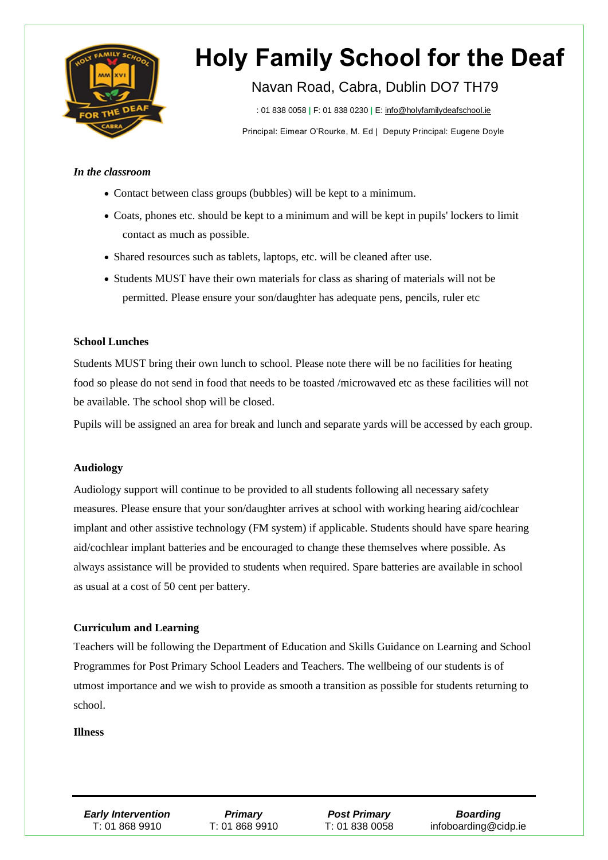

### Navan Road, Cabra, Dublin DO7 TH79

T : 01 838 0058 **|** F: 01 838 0230 **|** E: info@holyfamilydeafschool.ie

Principal: Eimear O'Rourke, M. Ed | Deputy Principal: Eugene Doyle

#### *In the classroom*

- Contact between class groups (bubbles) will be kept to a minimum.
- Coats, phones etc. should be kept to a minimum and will be kept in pupils' lockers to limit contact as much as possible.
- Shared resources such as tablets, laptops, etc. will be cleaned after use.
- Students MUST have their own materials for class as sharing of materials will not be permitted. Please ensure your son/daughter has adequate pens, pencils, ruler etc

#### **School Lunches**

Students MUST bring their own lunch to school. Please note there will be no facilities for heating food so please do not send in food that needs to be toasted /microwaved etc as these facilities will not be available. The school shop will be closed.

Pupils will be assigned an area for break and lunch and separate yards will be accessed by each group.

#### **Audiology**

Audiology support will continue to be provided to all students following all necessary safety measures. Please ensure that your son/daughter arrives at school with working hearing aid/cochlear implant and other assistive technology (FM system) if applicable. Students should have spare hearing aid/cochlear implant batteries and be encouraged to change these themselves where possible. As always assistance will be provided to students when required. Spare batteries are available in school as usual at a cost of 50 cent per battery.

#### **Curriculum and Learning**

Programmes for Post Primary School Leaders and Teachers. The wellbeing of our students is of Teachers will be following the Department of Education and Skills Guidance on Learning and School utmost importance and we wish to provide as smooth a transition as possible for students returning to school.

#### **Illness**

*Primary* T: 01 868 9910

*Post Primary* T: 01 838 0058

*Boarding* infoboarding@cidp.ie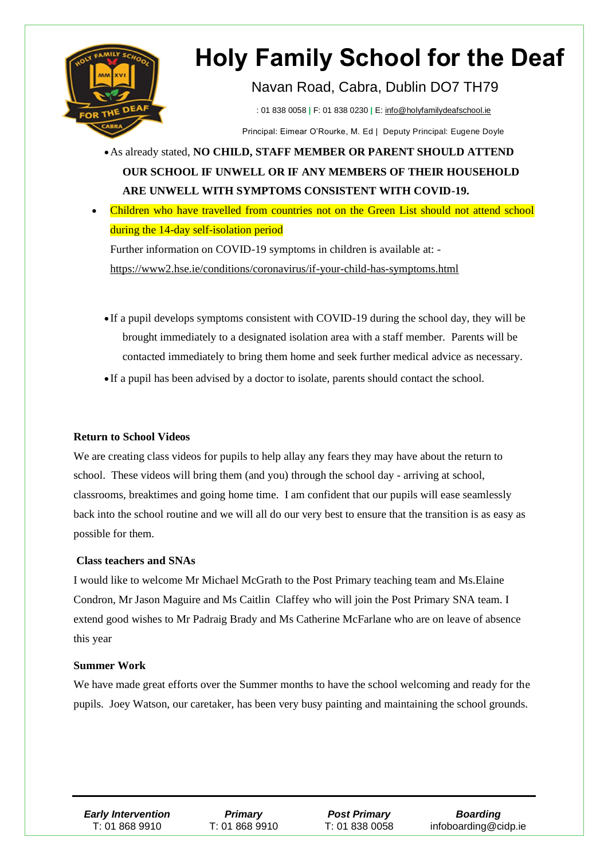

Navan Road, Cabra, Dublin DO7 TH79

T : 01 838 0058 **|** F: 01 838 0230 **|** E: info@holyfamilydeafschool.ie

Principal: Eimear O'Rourke, M. Ed | Deputy Principal: Eugene Doyle

As already stated, **NO CHILD, STAFF MEMBER OR PARENT SHOULD ATTEND OUR SCHOOL IF UNWELL OR IF ANY MEMBERS OF THEIR HOUSEHOLD ARE UNWELL WITH SYMPTOMS CONSISTENT WITH COVID-19.**

 Children who have travelled from countries not on the Green List should not attend school during the 14-day self-isolation period

Further information on COVID-19 symptoms in children is available at: <https://www2.hse.ie/conditions/coronavirus/if-your-child-has-symptoms.html>

 If a pupil develops symptoms consistent with COVID-19 during the school day, they will be brought immediately to a designated isolation area with a staff member. Parents will be contacted immediately to bring them home and seek further medical advice as necessary.

• If a pupil has been advised by a doctor to isolate, parents should contact the school.

#### **Return to School Videos**

We are creating class videos for pupils to help allay any fears they may have about the return to school. These videos will bring them (and you) through the school day - arriving at school, classrooms, breaktimes and going home time. I am confident that our pupils will ease seamlessly back into the school routine and we will all do our very best to ensure that the transition is as easy as possible for them.

#### **Class teachers and SNAs**

I would like to welcome Mr Michael McGrath to the Post Primary teaching team and Ms.Elaine Condron, Mr Jason Maguire and Ms Caitlin Claffey who will join the Post Primary SNA team. I extend good wishes to Mr Padraig Brady and Ms Catherine McFarlane who are on leave of absence this year

#### **Summer Work**

We have made great efforts over the Summer months to have the school welcoming and ready for the pupils. Joey Watson, our caretaker, has been very busy painting and maintaining the school grounds.

*Primary* T: 01 868 9910

*Post Primary* T: 01 838 0058

*Boarding* infoboarding@cidp.ie